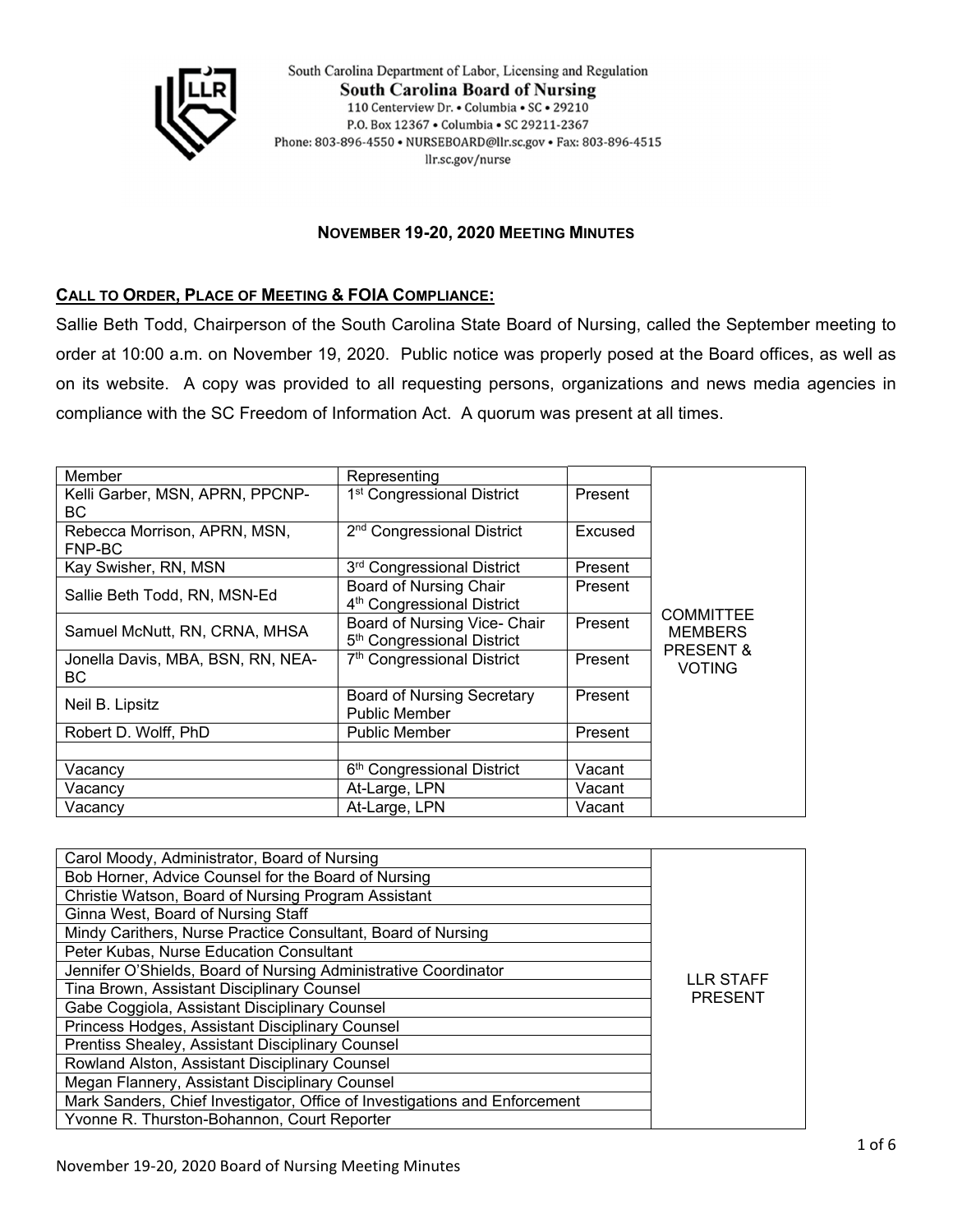

South Carolina Department of Labor, Licensing and Regulation **South Carolina Board of Nursing** 110 Centerview Dr. • Columbia • SC • 29210 P.O. Box 12367 . Columbia . SC 29211-2367 Phone: 803-896-4550 · NURSEBOARD@llr.sc.gov · Fax: 803-896-4515 llr.sc.gov/nurse

#### **NOVEMBER 19-20, 2020 MEETING MINUTES**

### **CALL TO ORDER, PLACE OF MEETING & FOIA COMPLIANCE:**

Sallie Beth Todd, Chairperson of the South Carolina State Board of Nursing, called the September meeting to order at 10:00 a.m. on November 19, 2020. Public notice was properly posed at the Board offices, as well as on its website. A copy was provided to all requesting persons, organizations and news media agencies in compliance with the SC Freedom of Information Act. A quorum was present at all times.

| Member                                   | Representing                                                            |         |                                                            |
|------------------------------------------|-------------------------------------------------------------------------|---------|------------------------------------------------------------|
| Kelli Garber, MSN, APRN, PPCNP-<br>BC.   | 1 <sup>st</sup> Congressional District                                  | Present |                                                            |
| Rebecca Morrison, APRN, MSN,<br>FNP-BC   | 2 <sup>nd</sup> Congressional District                                  | Excused |                                                            |
| Kay Swisher, RN, MSN                     | 3 <sup>rd</sup> Congressional District                                  | Present |                                                            |
| Sallie Beth Todd, RN, MSN-Ed             | <b>Board of Nursing Chair</b><br>4 <sup>th</sup> Congressional District | Present |                                                            |
| Samuel McNutt, RN, CRNA, MHSA            | Board of Nursing Vice- Chair<br>5 <sup>th</sup> Congressional District  | Present | <b>COMMITTEE</b><br><b>MEMBERS</b><br><b>PRESENT &amp;</b> |
| Jonella Davis, MBA, BSN, RN, NEA-<br>BC. | 7 <sup>th</sup> Congressional District                                  | Present | <b>VOTING</b>                                              |
| Neil B. Lipsitz                          | <b>Board of Nursing Secretary</b><br><b>Public Member</b>               | Present |                                                            |
| Robert D. Wolff, PhD                     | <b>Public Member</b>                                                    | Present |                                                            |
|                                          |                                                                         |         |                                                            |
| Vacancv                                  | 6 <sup>th</sup> Congressional District                                  | Vacant  |                                                            |
| Vacancy                                  | At-Large, LPN                                                           | Vacant  |                                                            |
| Vacancy                                  | At-Large, LPN                                                           | Vacant  |                                                            |

| Carol Moody, Administrator, Board of Nursing                               |                             |
|----------------------------------------------------------------------------|-----------------------------|
| Bob Horner, Advice Counsel for the Board of Nursing                        |                             |
| Christie Watson, Board of Nursing Program Assistant                        |                             |
| Ginna West, Board of Nursing Staff                                         |                             |
| Mindy Carithers, Nurse Practice Consultant, Board of Nursing               |                             |
| Peter Kubas, Nurse Education Consultant                                    |                             |
| Jennifer O'Shields, Board of Nursing Administrative Coordinator            | LLR STAFF<br><b>PRESENT</b> |
| Tina Brown, Assistant Disciplinary Counsel                                 |                             |
| Gabe Coggiola, Assistant Disciplinary Counsel                              |                             |
| Princess Hodges, Assistant Disciplinary Counsel                            |                             |
| Prentiss Shealey, Assistant Disciplinary Counsel                           |                             |
| Rowland Alston, Assistant Disciplinary Counsel                             |                             |
| Megan Flannery, Assistant Disciplinary Counsel                             |                             |
| Mark Sanders, Chief Investigator, Office of Investigations and Enforcement |                             |
| Yvonne R. Thurston-Bohannon, Court Reporter                                |                             |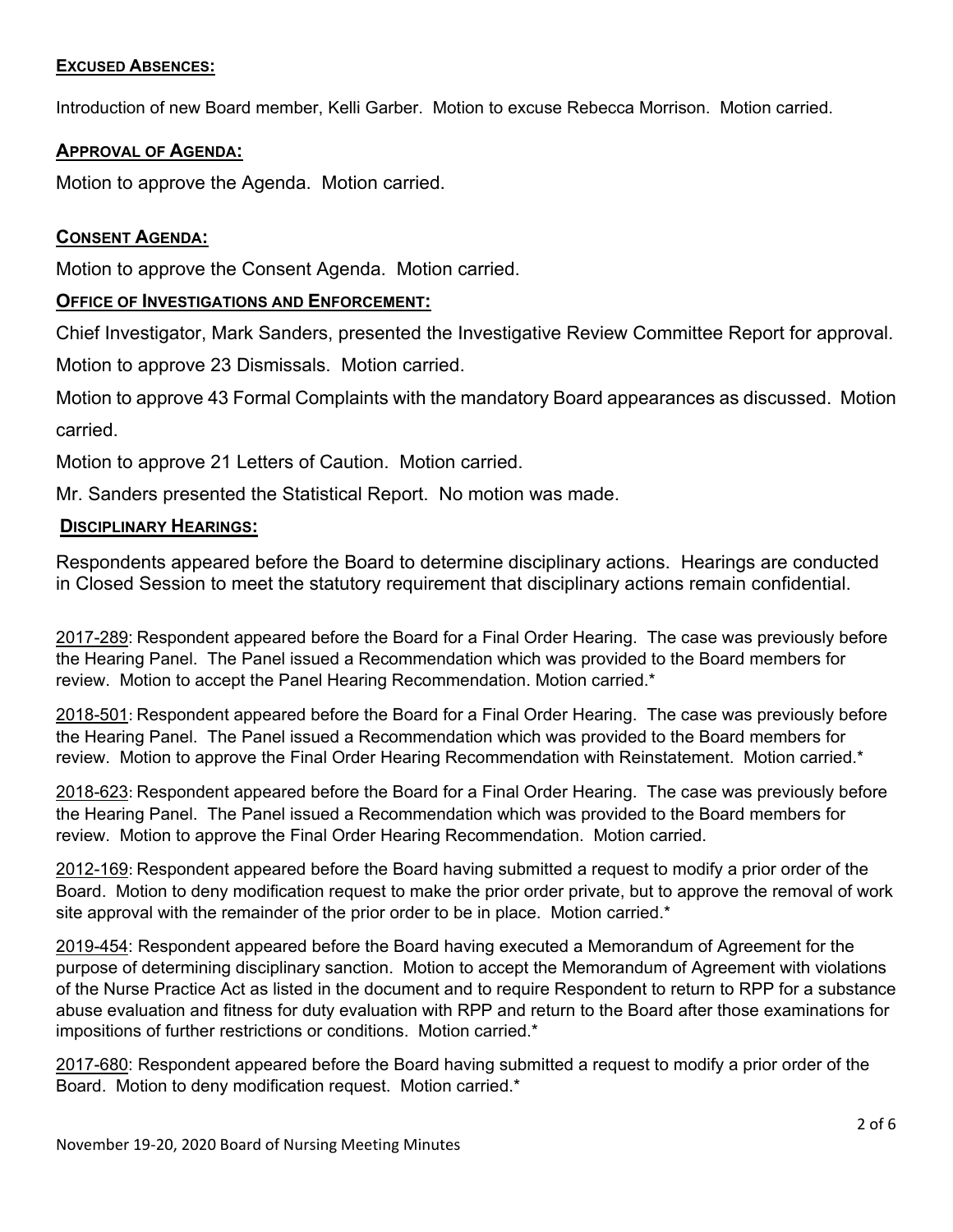### **EXCUSED ABSENCES:**

Introduction of new Board member, Kelli Garber. Motion to excuse Rebecca Morrison. Motion carried.

## **APPROVAL OF AGENDA:**

Motion to approve the Agenda. Motion carried.

# **CONSENT AGENDA:**

Motion to approve the Consent Agenda. Motion carried.

## **OFFICE OF INVESTIGATIONS AND ENFORCEMENT:**

Chief Investigator, Mark Sanders, presented the Investigative Review Committee Report for approval.

Motion to approve 23 Dismissals. Motion carried.

Motion to approve 43 Formal Complaints with the mandatory Board appearances as discussed. Motion carried.

Motion to approve 21 Letters of Caution. Motion carried.

Mr. Sanders presented the Statistical Report. No motion was made.

## **DISCIPLINARY HEARINGS:**

Respondents appeared before the Board to determine disciplinary actions. Hearings are conducted in Closed Session to meet the statutory requirement that disciplinary actions remain confidential.

2017-289: Respondent appeared before the Board for a Final Order Hearing. The case was previously before the Hearing Panel. The Panel issued a Recommendation which was provided to the Board members for review. Motion to accept the Panel Hearing Recommendation. Motion carried.\*

2018-501: Respondent appeared before the Board for a Final Order Hearing. The case was previously before the Hearing Panel. The Panel issued a Recommendation which was provided to the Board members for review. Motion to approve the Final Order Hearing Recommendation with Reinstatement. Motion carried.\*

2018-623: Respondent appeared before the Board for a Final Order Hearing. The case was previously before the Hearing Panel. The Panel issued a Recommendation which was provided to the Board members for review. Motion to approve the Final Order Hearing Recommendation. Motion carried.

2012-169: Respondent appeared before the Board having submitted a request to modify a prior order of the Board. Motion to deny modification request to make the prior order private, but to approve the removal of work site approval with the remainder of the prior order to be in place. Motion carried.\*

2019-454: Respondent appeared before the Board having executed a Memorandum of Agreement for the purpose of determining disciplinary sanction. Motion to accept the Memorandum of Agreement with violations of the Nurse Practice Act as listed in the document and to require Respondent to return to RPP for a substance abuse evaluation and fitness for duty evaluation with RPP and return to the Board after those examinations for impositions of further restrictions or conditions. Motion carried.\*

2017-680: Respondent appeared before the Board having submitted a request to modify a prior order of the Board. Motion to deny modification request. Motion carried.\*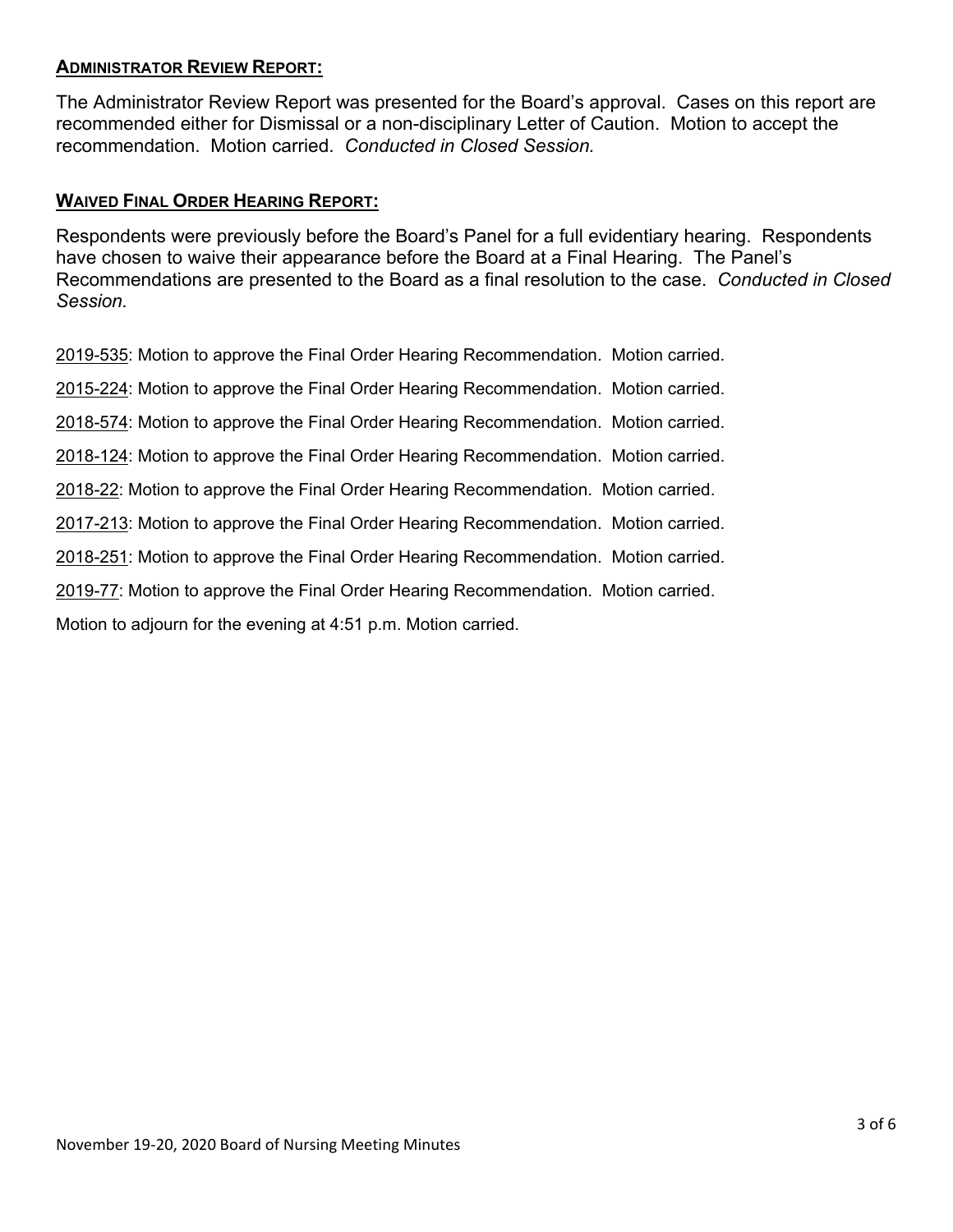## **ADMINISTRATOR REVIEW REPORT:**

The Administrator Review Report was presented for the Board's approval. Cases on this report are recommended either for Dismissal or a non-disciplinary Letter of Caution. Motion to accept the recommendation. Motion carried. *Conducted in Closed Session.*

### **WAIVED FINAL ORDER HEARING REPORT:**

Respondents were previously before the Board's Panel for a full evidentiary hearing. Respondents have chosen to waive their appearance before the Board at a Final Hearing. The Panel's Recommendations are presented to the Board as a final resolution to the case. *Conducted in Closed Session.*

2019-535: Motion to approve the Final Order Hearing Recommendation. Motion carried.

2015-224: Motion to approve the Final Order Hearing Recommendation. Motion carried.

2018-574: Motion to approve the Final Order Hearing Recommendation. Motion carried.

2018-124: Motion to approve the Final Order Hearing Recommendation. Motion carried.

2018-22: Motion to approve the Final Order Hearing Recommendation. Motion carried.

2017-213: Motion to approve the Final Order Hearing Recommendation. Motion carried.

2018-251: Motion to approve the Final Order Hearing Recommendation. Motion carried.

2019-77: Motion to approve the Final Order Hearing Recommendation. Motion carried.

Motion to adjourn for the evening at 4:51 p.m. Motion carried.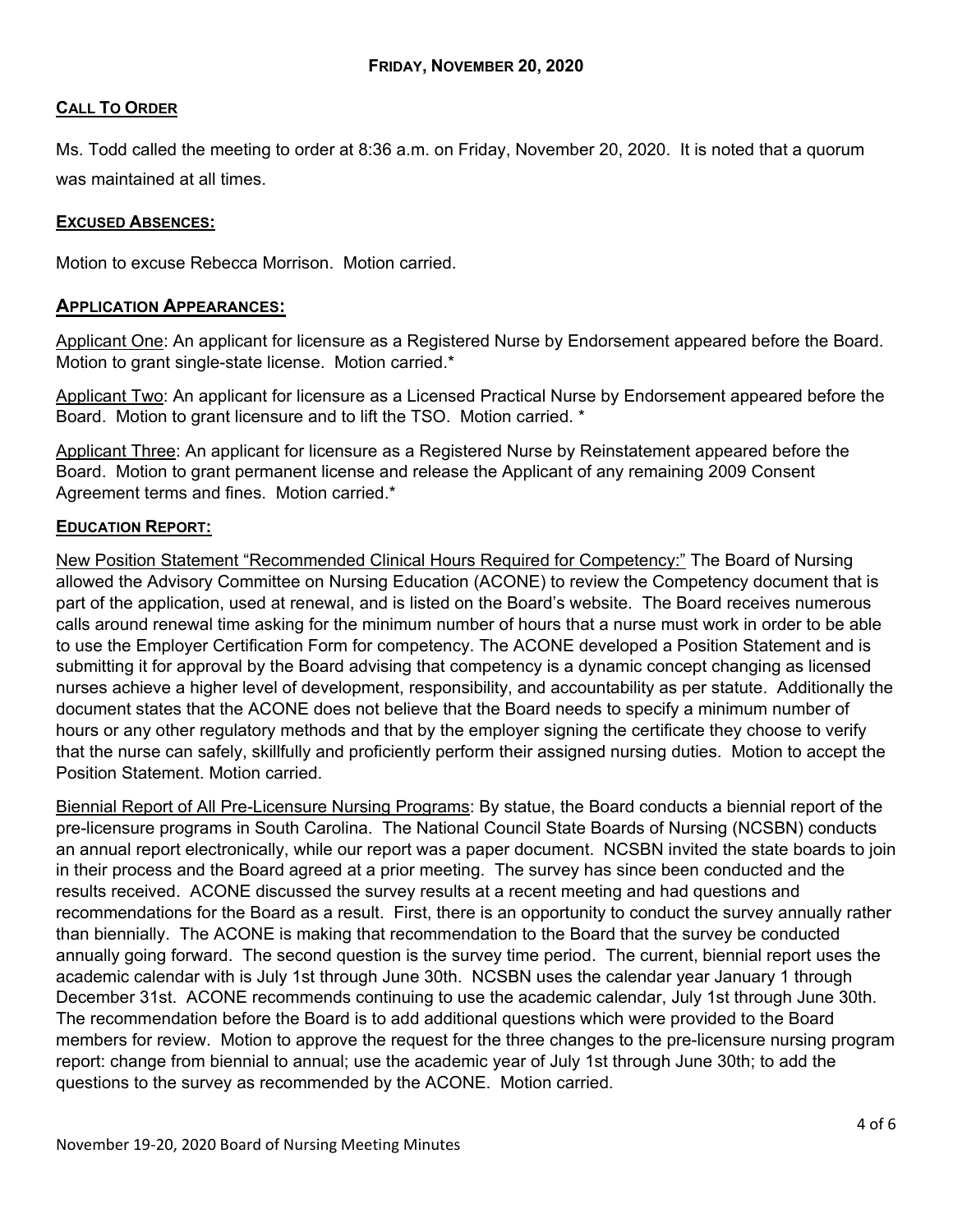## **CALL TO ORDER**

Ms. Todd called the meeting to order at 8:36 a.m. on Friday, November 20, 2020. It is noted that a quorum was maintained at all times.

### **EXCUSED ABSENCES:**

Motion to excuse Rebecca Morrison. Motion carried.

### **APPLICATION APPEARANCES:**

Applicant One: An applicant for licensure as a Registered Nurse by Endorsement appeared before the Board. Motion to grant single-state license. Motion carried.\*

Applicant Two: An applicant for licensure as a Licensed Practical Nurse by Endorsement appeared before the Board. Motion to grant licensure and to lift the TSO. Motion carried. \*

Applicant Three: An applicant for licensure as a Registered Nurse by Reinstatement appeared before the Board. Motion to grant permanent license and release the Applicant of any remaining 2009 Consent Agreement terms and fines. Motion carried.\*

#### **EDUCATION REPORT:**

New Position Statement "Recommended Clinical Hours Required for Competency:" The Board of Nursing allowed the Advisory Committee on Nursing Education (ACONE) to review the Competency document that is part of the application, used at renewal, and is listed on the Board's website. The Board receives numerous calls around renewal time asking for the minimum number of hours that a nurse must work in order to be able to use the Employer Certification Form for competency. The ACONE developed a Position Statement and is submitting it for approval by the Board advising that competency is a dynamic concept changing as licensed nurses achieve a higher level of development, responsibility, and accountability as per statute. Additionally the document states that the ACONE does not believe that the Board needs to specify a minimum number of hours or any other regulatory methods and that by the employer signing the certificate they choose to verify that the nurse can safely, skillfully and proficiently perform their assigned nursing duties. Motion to accept the Position Statement. Motion carried.

Biennial Report of All Pre-Licensure Nursing Programs: By statue, the Board conducts a biennial report of the pre-licensure programs in South Carolina. The National Council State Boards of Nursing (NCSBN) conducts an annual report electronically, while our report was a paper document. NCSBN invited the state boards to join in their process and the Board agreed at a prior meeting. The survey has since been conducted and the results received. ACONE discussed the survey results at a recent meeting and had questions and recommendations for the Board as a result. First, there is an opportunity to conduct the survey annually rather than biennially. The ACONE is making that recommendation to the Board that the survey be conducted annually going forward. The second question is the survey time period. The current, biennial report uses the academic calendar with is July 1st through June 30th. NCSBN uses the calendar year January 1 through December 31st. ACONE recommends continuing to use the academic calendar, July 1st through June 30th. The recommendation before the Board is to add additional questions which were provided to the Board members for review. Motion to approve the request for the three changes to the pre-licensure nursing program report: change from biennial to annual; use the academic year of July 1st through June 30th; to add the questions to the survey as recommended by the ACONE. Motion carried.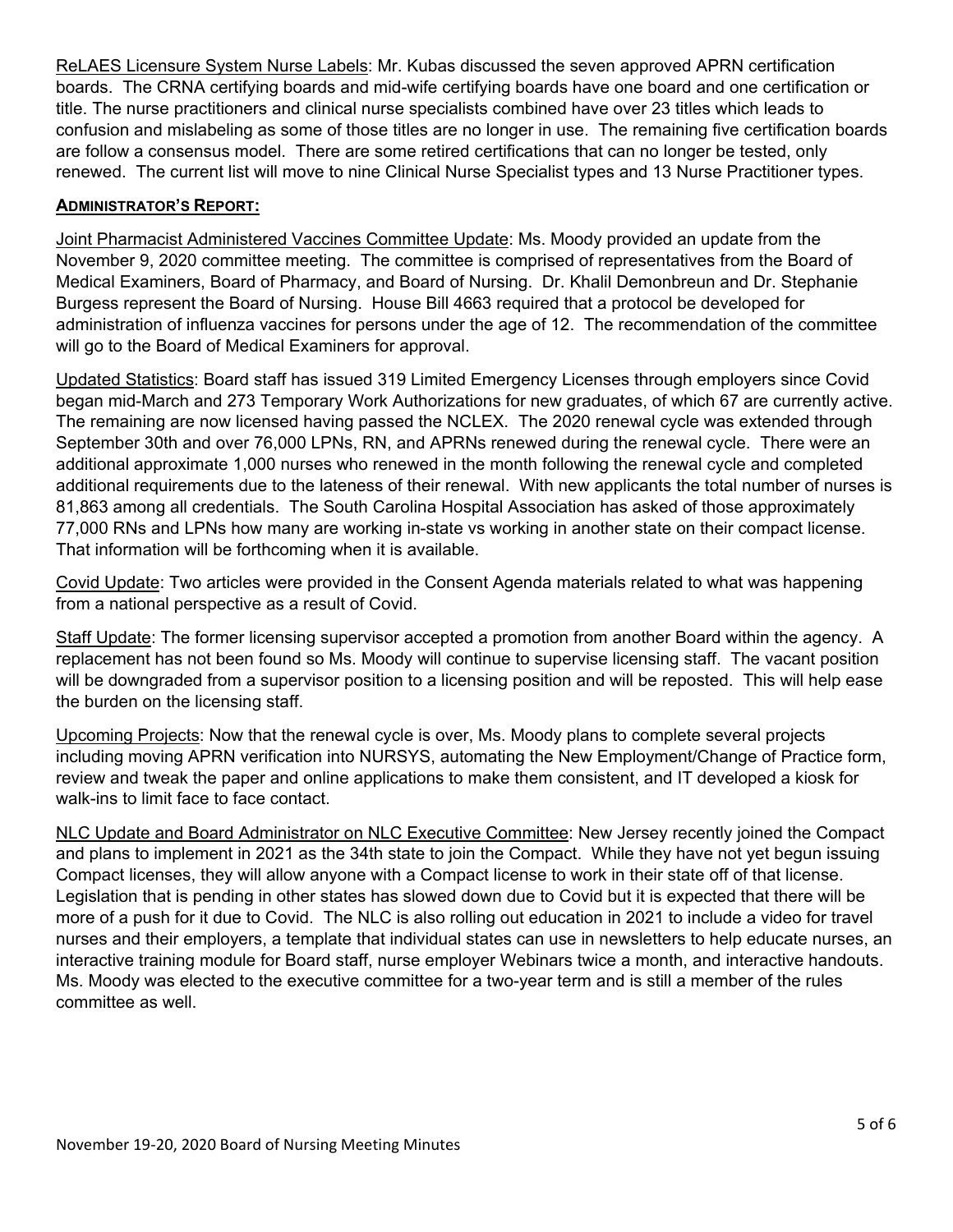ReLAES Licensure System Nurse Labels: Mr. Kubas discussed the seven approved APRN certification boards. The CRNA certifying boards and mid-wife certifying boards have one board and one certification or title. The nurse practitioners and clinical nurse specialists combined have over 23 titles which leads to confusion and mislabeling as some of those titles are no longer in use. The remaining five certification boards are follow a consensus model. There are some retired certifications that can no longer be tested, only renewed. The current list will move to nine Clinical Nurse Specialist types and 13 Nurse Practitioner types.

### **ADMINISTRATOR'S REPORT:**

Joint Pharmacist Administered Vaccines Committee Update: Ms. Moody provided an update from the November 9, 2020 committee meeting. The committee is comprised of representatives from the Board of Medical Examiners, Board of Pharmacy, and Board of Nursing. Dr. Khalil Demonbreun and Dr. Stephanie Burgess represent the Board of Nursing. House Bill 4663 required that a protocol be developed for administration of influenza vaccines for persons under the age of 12. The recommendation of the committee will go to the Board of Medical Examiners for approval.

Updated Statistics: Board staff has issued 319 Limited Emergency Licenses through employers since Covid began mid-March and 273 Temporary Work Authorizations for new graduates, of which 67 are currently active. The remaining are now licensed having passed the NCLEX. The 2020 renewal cycle was extended through September 30th and over 76,000 LPNs, RN, and APRNs renewed during the renewal cycle. There were an additional approximate 1,000 nurses who renewed in the month following the renewal cycle and completed additional requirements due to the lateness of their renewal. With new applicants the total number of nurses is 81,863 among all credentials. The South Carolina Hospital Association has asked of those approximately 77,000 RNs and LPNs how many are working in-state vs working in another state on their compact license. That information will be forthcoming when it is available.

Covid Update: Two articles were provided in the Consent Agenda materials related to what was happening from a national perspective as a result of Covid.

Staff Update: The former licensing supervisor accepted a promotion from another Board within the agency. A replacement has not been found so Ms. Moody will continue to supervise licensing staff. The vacant position will be downgraded from a supervisor position to a licensing position and will be reposted. This will help ease the burden on the licensing staff.

Upcoming Projects: Now that the renewal cycle is over, Ms. Moody plans to complete several projects including moving APRN verification into NURSYS, automating the New Employment/Change of Practice form, review and tweak the paper and online applications to make them consistent, and IT developed a kiosk for walk-ins to limit face to face contact.

NLC Update and Board Administrator on NLC Executive Committee: New Jersey recently joined the Compact and plans to implement in 2021 as the 34th state to join the Compact. While they have not yet begun issuing Compact licenses, they will allow anyone with a Compact license to work in their state off of that license. Legislation that is pending in other states has slowed down due to Covid but it is expected that there will be more of a push for it due to Covid. The NLC is also rolling out education in 2021 to include a video for travel nurses and their employers, a template that individual states can use in newsletters to help educate nurses, an interactive training module for Board staff, nurse employer Webinars twice a month, and interactive handouts. Ms. Moody was elected to the executive committee for a two-year term and is still a member of the rules committee as well.